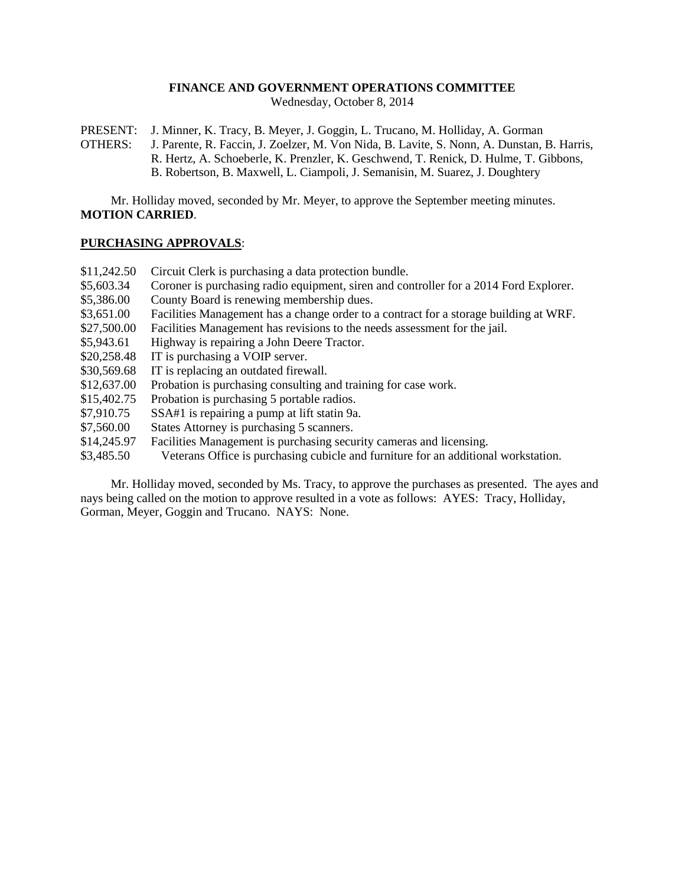### **FINANCE AND GOVERNMENT OPERATIONS COMMITTEE**

Wednesday, October 8, 2014

PRESENT: J. Minner, K. Tracy, B. Meyer, J. Goggin, L. Trucano, M. Holliday, A. Gorman OTHERS: J. Parente, R. Faccin, J. Zoelzer, M. Von Nida, B. Lavite, S. Nonn, A. Dunstan, B. Harris, R. Hertz, A. Schoeberle, K. Prenzler, K. Geschwend, T. Renick, D. Hulme, T. Gibbons, B. Robertson, B. Maxwell, L. Ciampoli, J. Semanisin, M. Suarez, J. Doughtery

Mr. Holliday moved, seconded by Mr. Meyer, to approve the September meeting minutes. **MOTION CARRIED**.

#### **PURCHASING APPROVALS**:

- \$11,242.50 Circuit Clerk is purchasing a data protection bundle.
- \$5,603.34 Coroner is purchasing radio equipment, siren and controller for a 2014 Ford Explorer.
- \$5,386.00 County Board is renewing membership dues.
- \$3,651.00 Facilities Management has a change order to a contract for a storage building at WRF.
- \$27,500.00 Facilities Management has revisions to the needs assessment for the jail.
- \$5,943.61 Highway is repairing a John Deere Tractor.
- \$20,258.48 IT is purchasing a VOIP server.
- \$30,569.68 IT is replacing an outdated firewall.
- \$12,637.00 Probation is purchasing consulting and training for case work.
- \$15,402.75 Probation is purchasing 5 portable radios.
- \$7,910.75 SSA#1 is repairing a pump at lift statin 9a.
- \$7,560.00 States Attorney is purchasing 5 scanners.
- \$14,245.97 Facilities Management is purchasing security cameras and licensing.
- \$3,485.50 Veterans Office is purchasing cubicle and furniture for an additional workstation.

Mr. Holliday moved, seconded by Ms. Tracy, to approve the purchases as presented. The ayes and nays being called on the motion to approve resulted in a vote as follows: AYES: Tracy, Holliday, Gorman, Meyer, Goggin and Trucano. NAYS: None.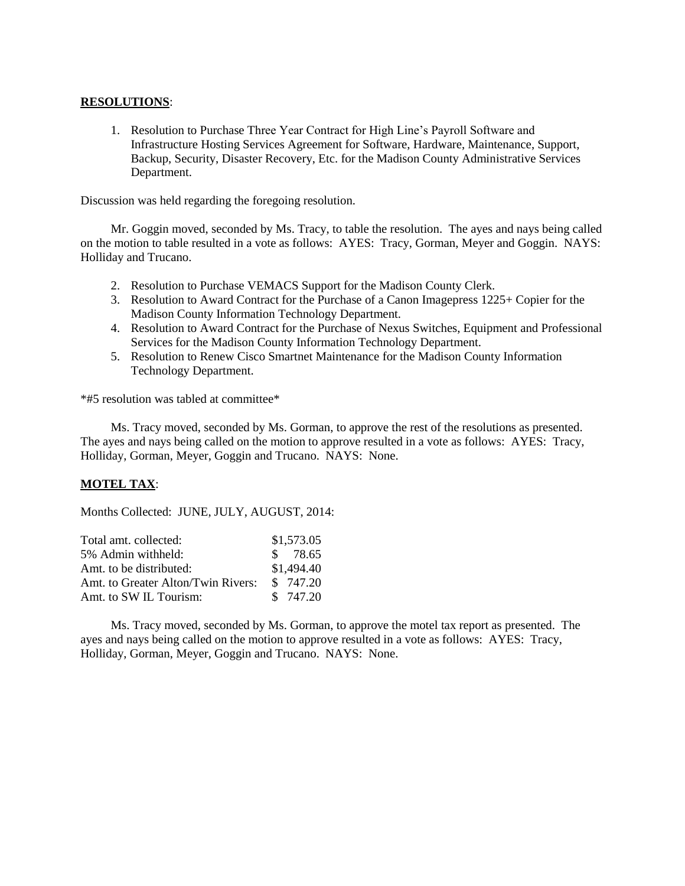# **RESOLUTIONS**:

1. Resolution to Purchase Three Year Contract for High Line's Payroll Software and Infrastructure Hosting Services Agreement for Software, Hardware, Maintenance, Support, Backup, Security, Disaster Recovery, Etc. for the Madison County Administrative Services Department.

Discussion was held regarding the foregoing resolution.

Mr. Goggin moved, seconded by Ms. Tracy, to table the resolution. The ayes and nays being called on the motion to table resulted in a vote as follows: AYES: Tracy, Gorman, Meyer and Goggin. NAYS: Holliday and Trucano.

- 2. Resolution to Purchase VEMACS Support for the Madison County Clerk.
- 3. Resolution to Award Contract for the Purchase of a Canon Imagepress 1225+ Copier for the Madison County Information Technology Department.
- 4. Resolution to Award Contract for the Purchase of Nexus Switches, Equipment and Professional Services for the Madison County Information Technology Department.
- 5. Resolution to Renew Cisco Smartnet Maintenance for the Madison County Information Technology Department.

\*#5 resolution was tabled at committee\*

Ms. Tracy moved, seconded by Ms. Gorman, to approve the rest of the resolutions as presented. The ayes and nays being called on the motion to approve resulted in a vote as follows: AYES: Tracy, Holliday, Gorman, Meyer, Goggin and Trucano. NAYS: None.

## **MOTEL TAX**:

Months Collected: JUNE, JULY, AUGUST, 2014:

| Total amt. collected:              | \$1,573.05 |
|------------------------------------|------------|
| 5% Admin withheld:                 | \$78.65    |
| Amt. to be distributed:            | \$1,494.40 |
| Amt. to Greater Alton/Twin Rivers: | \$ 747.20  |
| Amt. to SW IL Tourism:             | \$747.20   |

Ms. Tracy moved, seconded by Ms. Gorman, to approve the motel tax report as presented. The ayes and nays being called on the motion to approve resulted in a vote as follows: AYES: Tracy, Holliday, Gorman, Meyer, Goggin and Trucano. NAYS: None.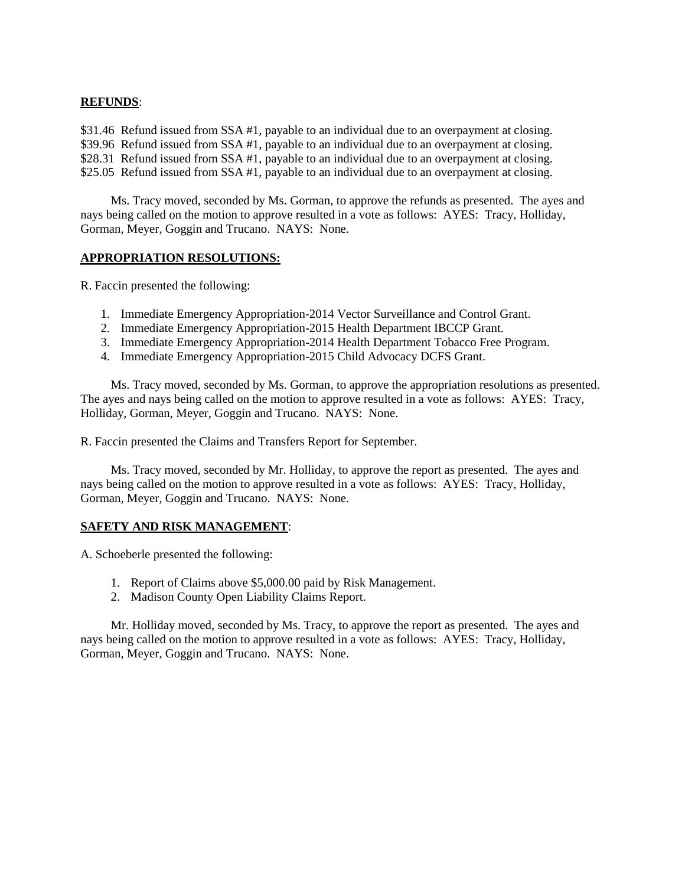# **REFUNDS**:

\$31.46 Refund issued from SSA #1, payable to an individual due to an overpayment at closing. \$39.96 Refund issued from SSA #1, payable to an individual due to an overpayment at closing. \$28.31 Refund issued from SSA #1, payable to an individual due to an overpayment at closing. \$25.05 Refund issued from SSA #1, payable to an individual due to an overpayment at closing.

Ms. Tracy moved, seconded by Ms. Gorman, to approve the refunds as presented. The ayes and nays being called on the motion to approve resulted in a vote as follows: AYES: Tracy, Holliday, Gorman, Meyer, Goggin and Trucano. NAYS: None.

## **APPROPRIATION RESOLUTIONS:**

R. Faccin presented the following:

- 1. Immediate Emergency Appropriation-2014 Vector Surveillance and Control Grant.
- 2. Immediate Emergency Appropriation-2015 Health Department IBCCP Grant.
- 3. Immediate Emergency Appropriation-2014 Health Department Tobacco Free Program.
- 4. Immediate Emergency Appropriation-2015 Child Advocacy DCFS Grant.

Ms. Tracy moved, seconded by Ms. Gorman, to approve the appropriation resolutions as presented. The ayes and nays being called on the motion to approve resulted in a vote as follows: AYES: Tracy, Holliday, Gorman, Meyer, Goggin and Trucano. NAYS: None.

R. Faccin presented the Claims and Transfers Report for September.

Ms. Tracy moved, seconded by Mr. Holliday, to approve the report as presented. The ayes and nays being called on the motion to approve resulted in a vote as follows: AYES: Tracy, Holliday, Gorman, Meyer, Goggin and Trucano. NAYS: None.

## **SAFETY AND RISK MANAGEMENT**:

A. Schoeberle presented the following:

- 1. Report of Claims above \$5,000.00 paid by Risk Management.
- 2. Madison County Open Liability Claims Report.

Mr. Holliday moved, seconded by Ms. Tracy, to approve the report as presented. The ayes and nays being called on the motion to approve resulted in a vote as follows: AYES: Tracy, Holliday, Gorman, Meyer, Goggin and Trucano. NAYS: None.